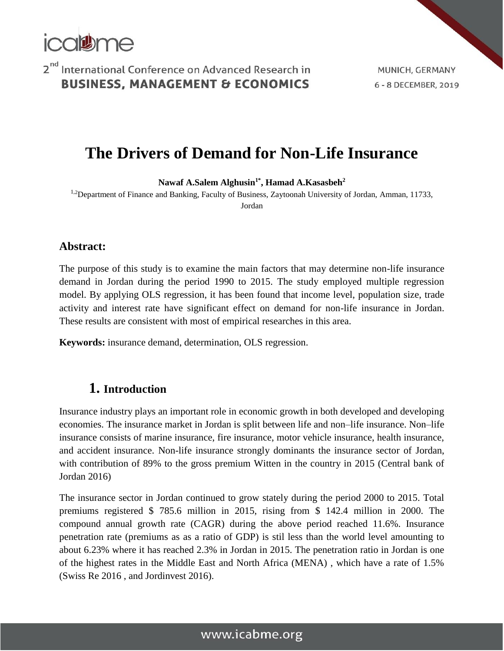

MUNICH, GERMANY 6 - 8 DECEMBER, 2019

# **The Drivers of Demand for Non-Life Insurance**

**Nawaf A.Salem Alghusin1\* , Hamad A.Kasasbeh<sup>2</sup>**

<sup>1,2</sup>Department of Finance and Banking, Faculty of Business, Zaytoonah University of Jordan, Amman, 11733, Jordan

**Abstract:**

The purpose of this study is to examine the main factors that may determine non-life insurance demand in Jordan during the period 1990 to 2015. The study employed multiple regression model. By applying OLS regression, it has been found that income level, population size, trade activity and interest rate have significant effect on demand for non-life insurance in Jordan. These results are consistent with most of empirical researches in this area.

**Keywords:** insurance demand, determination, OLS regression.

#### **1. Introduction**

Insurance industry plays an important role in economic growth in both developed and developing economies. The insurance market in Jordan is split between life and non–life insurance. Non–life insurance consists of marine insurance, fire insurance, motor vehicle insurance, health insurance, and accident insurance. Non-life insurance strongly dominants the insurance sector of Jordan, with contribution of 89% to the gross premium Witten in the country in 2015 (Central bank of Jordan 2016)

The insurance sector in Jordan continued to grow stately during the period 2000 to 2015. Total premiums registered \$ 785.6 million in 2015, rising from \$ 142.4 million in 2000. The compound annual growth rate (CAGR) during the above period reached 11.6%. Insurance penetration rate (premiums as as a ratio of GDP) is stil less than the world level amounting to about 6.23% where it has reached 2.3% in Jordan in 2015. The penetration ratio in Jordan is one of the highest rates in the Middle East and North Africa (MENA) , which have a rate of 1.5% (Swiss Re 2016 , and Jordinvest 2016).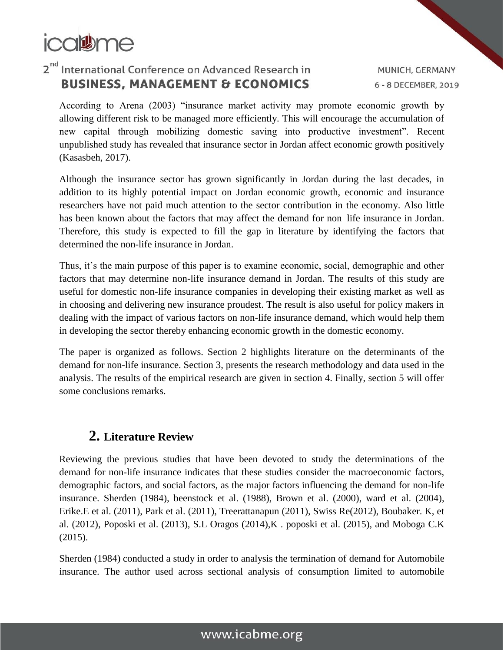

MUNICH, GERMANY 6 - 8 DECEMBER, 2019

According to Arena (2003) "insurance market activity may promote economic growth by allowing different risk to be managed more efficiently. This will encourage the accumulation of new capital through mobilizing domestic saving into productive investment". Recent unpublished study has revealed that insurance sector in Jordan affect economic growth positively (Kasasbeh, 2017).

Although the insurance sector has grown significantly in Jordan during the last decades, in addition to its highly potential impact on Jordan economic growth, economic and insurance researchers have not paid much attention to the sector contribution in the economy. Also little has been known about the factors that may affect the demand for non–life insurance in Jordan. Therefore, this study is expected to fill the gap in literature by identifying the factors that determined the non-life insurance in Jordan.

Thus, it's the main purpose of this paper is to examine economic, social, demographic and other factors that may determine non-life insurance demand in Jordan. The results of this study are useful for domestic non-life insurance companies in developing their existing market as well as in choosing and delivering new insurance proudest. The result is also useful for policy makers in dealing with the impact of various factors on non-life insurance demand, which would help them in developing the sector thereby enhancing economic growth in the domestic economy.

The paper is organized as follows. Section 2 highlights literature on the determinants of the demand for non-life insurance. Section 3, presents the research methodology and data used in the analysis. The results of the empirical research are given in section 4. Finally, section 5 will offer some conclusions remarks.

## **2. Literature Review**

Reviewing the previous studies that have been devoted to study the determinations of the demand for non-life insurance indicates that these studies consider the macroeconomic factors, demographic factors, and social factors, as the major factors influencing the demand for non-life insurance. Sherden (1984), beenstock et al. (1988), Brown et al. (2000), ward et al. (2004), Erike.E et al. (2011), Park et al. (2011), Treerattanapun (2011), Swiss Re(2012), Boubaker. K, et al. (2012), Poposki et al. (2013), S.L Oragos (2014),K . poposki et al. (2015), and Moboga C.K (2015).

Sherden (1984) conducted a study in order to analysis the termination of demand for Automobile insurance. The author used across sectional analysis of consumption limited to automobile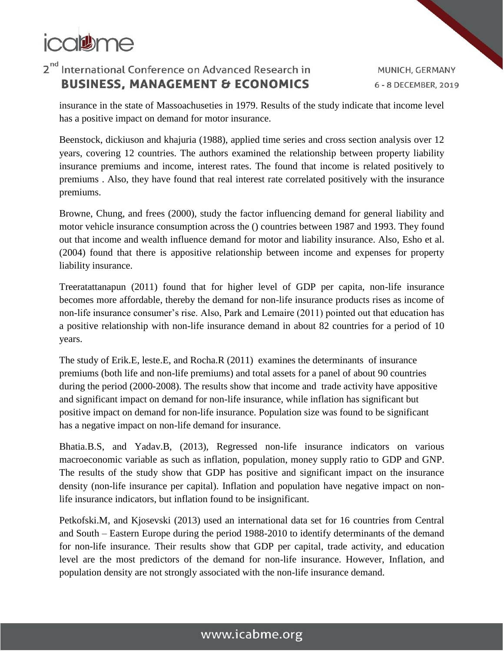

MUNICH, GERMANY 6 - 8 DECEMBER, 2019

insurance in the state of Massoachuseties in 1979. Results of the study indicate that income level has a positive impact on demand for motor insurance.

Beenstock, dickiuson and khajuria (1988), applied time series and cross section analysis over 12 years, covering 12 countries. The authors examined the relationship between property liability insurance premiums and income, interest rates. The found that income is related positively to premiums . Also, they have found that real interest rate correlated positively with the insurance premiums.

Browne, Chung, and frees (2000), study the factor influencing demand for general liability and motor vehicle insurance consumption across the () countries between 1987 and 1993. They found out that income and wealth influence demand for motor and liability insurance. Also, Esho et al. (2004) found that there is appositive relationship between income and expenses for property liability insurance.

Treeratattanapun (2011) found that for higher level of GDP per capita, non-life insurance becomes more affordable, thereby the demand for non-life insurance products rises as income of non-life insurance consumer's rise. Also, Park and Lemaire (2011) pointed out that education has a positive relationship with non-life insurance demand in about 82 countries for a period of 10 years.

The study of Erik.E, leste.E, and Rocha.R (2011) examines the determinants of insurance premiums (both life and non-life premiums) and total assets for a panel of about 90 countries during the period (2000-2008). The results show that income and trade activity have appositive and significant impact on demand for non-life insurance, while inflation has significant but positive impact on demand for non-life insurance. Population size was found to be significant has a negative impact on non-life demand for insurance.

Bhatia.B.S, and Yadav.B, (2013), Regressed non-life insurance indicators on various macroeconomic variable as such as inflation, population, money supply ratio to GDP and GNP. The results of the study show that GDP has positive and significant impact on the insurance density (non-life insurance per capital). Inflation and population have negative impact on nonlife insurance indicators, but inflation found to be insignificant.

Petkofski.M, and Kjosevski (2013) used an international data set for 16 countries from Central and South – Eastern Europe during the period 1988-2010 to identify determinants of the demand for non-life insurance. Their results show that GDP per capital, trade activity, and education level are the most predictors of the demand for non-life insurance. However, Inflation, and population density are not strongly associated with the non-life insurance demand.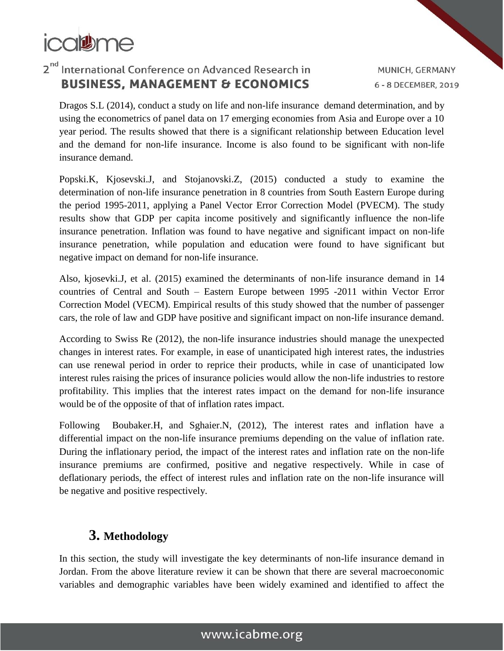

MUNICH, GERMANY 6 - 8 DECEMBER, 2019

Dragos S.L (2014), conduct a study on life and non-life insurance demand determination, and by using the econometrics of panel data on 17 emerging economies from Asia and Europe over a 10 year period. The results showed that there is a significant relationship between Education level and the demand for non-life insurance. Income is also found to be significant with non-life insurance demand.

Popski.K, Kjosevski.J, and Stojanovski.Z, (2015) conducted a study to examine the determination of non-life insurance penetration in 8 countries from South Eastern Europe during the period 1995-2011, applying a Panel Vector Error Correction Model (PVECM). The study results show that GDP per capita income positively and significantly influence the non-life insurance penetration. Inflation was found to have negative and significant impact on non-life insurance penetration, while population and education were found to have significant but negative impact on demand for non-life insurance.

Also, kjosevki.J, et al. (2015) examined the determinants of non-life insurance demand in 14 countries of Central and South – Eastern Europe between 1995 -2011 within Vector Error Correction Model (VECM). Empirical results of this study showed that the number of passenger cars, the role of law and GDP have positive and significant impact on non-life insurance demand.

According to Swiss Re (2012), the non-life insurance industries should manage the unexpected changes in interest rates. For example, in ease of unanticipated high interest rates, the industries can use renewal period in order to reprice their products, while in case of unanticipated low interest rules raising the prices of insurance policies would allow the non-life industries to restore profitability. This implies that the interest rates impact on the demand for non-life insurance would be of the opposite of that of inflation rates impact.

Following Boubaker.H, and Sghaier.N, (2012), The interest rates and inflation have a differential impact on the non-life insurance premiums depending on the value of inflation rate. During the inflationary period, the impact of the interest rates and inflation rate on the non-life insurance premiums are confirmed, positive and negative respectively. While in case of deflationary periods, the effect of interest rules and inflation rate on the non-life insurance will be negative and positive respectively.

## **3. Methodology**

In this section, the study will investigate the key determinants of non-life insurance demand in Jordan. From the above literature review it can be shown that there are several macroeconomic variables and demographic variables have been widely examined and identified to affect the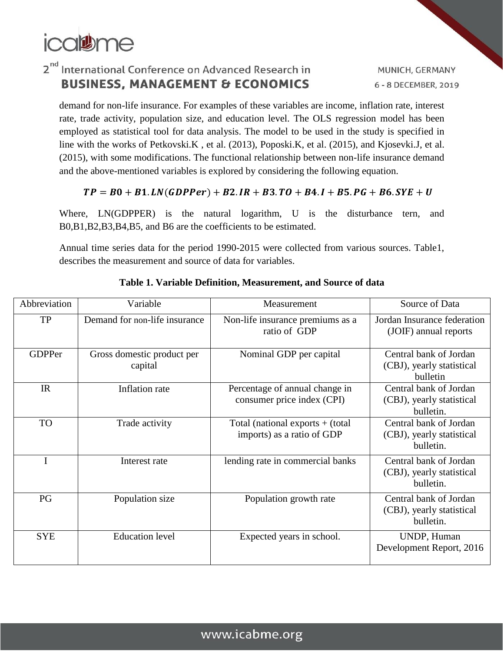

demand for non-life insurance. For examples of these variables are income, inflation rate, interest rate, trade activity, population size, and education level. The OLS regression model has been employed as statistical tool for data analysis. The model to be used in the study is specified in line with the works of Petkovski.K , et al. (2013), Poposki.K, et al. (2015), and Kjosevki.J, et al. (2015), with some modifications. The functional relationship between non-life insurance demand and the above-mentioned variables is explored by considering the following equation.

#### $TP = B0 + B1.LN(GDPPer) + B2.IR + B3.TO + B4.I + B5.PG + B6.SYE + U$

Where, LN(GDPPER) is the natural logarithm, U is the disturbance tern, and B0,B1,B2,B3,B4,B5, and B6 are the coefficients to be estimated.

Annual time series data for the period 1990-2015 were collected from various sources. Table1, describes the measurement and source of data for variables.

| Abbreviation  | Variable                              | Measurement                                                      | Source of Data                                                   |
|---------------|---------------------------------------|------------------------------------------------------------------|------------------------------------------------------------------|
| <b>TP</b>     | Demand for non-life insurance         | Non-life insurance premiums as a<br>ratio of GDP                 | Jordan Insurance federation<br>(JOIF) annual reports             |
| <b>GDPPer</b> | Gross domestic product per<br>capital | Nominal GDP per capital                                          | Central bank of Jordan<br>(CBJ), yearly statistical<br>bulletin  |
| IR            | Inflation rate                        | Percentage of annual change in<br>consumer price index (CPI)     | Central bank of Jordan<br>(CBJ), yearly statistical<br>bulletin. |
| <b>TO</b>     | Trade activity                        | Total (national exports $+$ (total<br>imports) as a ratio of GDP | Central bank of Jordan<br>(CBJ), yearly statistical<br>bulletin. |
|               | Interest rate                         | lending rate in commercial banks                                 | Central bank of Jordan<br>(CBJ), yearly statistical<br>bulletin. |
| PG            | Population size                       | Population growth rate                                           | Central bank of Jordan<br>(CBJ), yearly statistical<br>bulletin. |
| <b>SYE</b>    | <b>Education level</b>                | Expected years in school.                                        | UNDP, Human<br>Development Report, 2016                          |

#### **Table 1. Variable Definition, Measurement, and Source of data**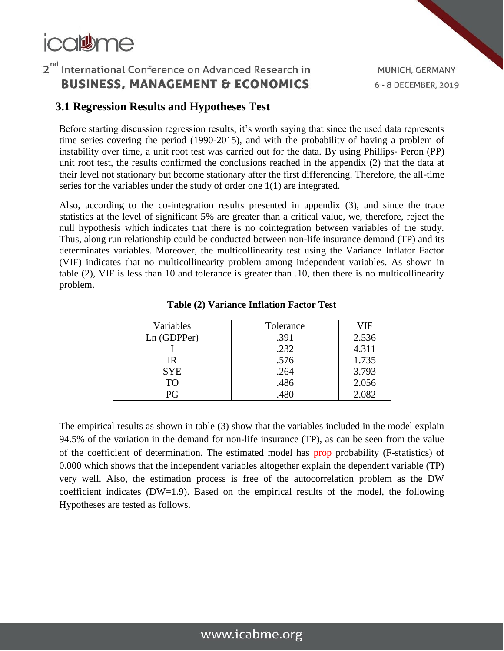# icaltume

## 2<sup>nd</sup> International Conference on Advanced Research in **BUSINESS, MANAGEMENT & ECONOMICS**

## **3.1 Regression Results and Hypotheses Test**

Before starting discussion regression results, it's worth saying that since the used data represents time series covering the period (1990-2015), and with the probability of having a problem of instability over time, a unit root test was carried out for the data. By using Phillips- Peron (PP) unit root test, the results confirmed the conclusions reached in the appendix (2) that the data at their level not stationary but become stationary after the first differencing. Therefore, the all-time series for the variables under the study of order one 1(1) are integrated.

Also, according to the co-integration results presented in appendix (3), and since the trace statistics at the level of significant 5% are greater than a critical value, we, therefore, reject the null hypothesis which indicates that there is no cointegration between variables of the study. Thus, along run relationship could be conducted between non-life insurance demand (TP) and its determinates variables. Moreover, the multicollinearity test using the Variance Inflator Factor (VIF) indicates that no multicollinearity problem among independent variables. As shown in table (2), VIF is less than 10 and tolerance is greater than .10, then there is no multicollinearity problem.

| Variables   | Tolerance | VIF   |
|-------------|-----------|-------|
| Ln (GDPPer) | .391      | 2.536 |
|             | .232      | 4.311 |
| IR          | .576      | 1.735 |
| <b>SYE</b>  | .264      | 3.793 |
| <b>TO</b>   | .486      | 2.056 |
| PG          | .480      | 2.082 |

**Table (2) Variance Inflation Factor Test**

The empirical results as shown in table (3) show that the variables included in the model explain 94.5% of the variation in the demand for non-life insurance (TP), as can be seen from the value of the coefficient of determination. The estimated model has prop probability (F-statistics) of 0.000 which shows that the independent variables altogether explain the dependent variable (TP) very well. Also, the estimation process is free of the autocorrelation problem as the DW coefficient indicates (DW=1.9). Based on the empirical results of the model, the following Hypotheses are tested as follows.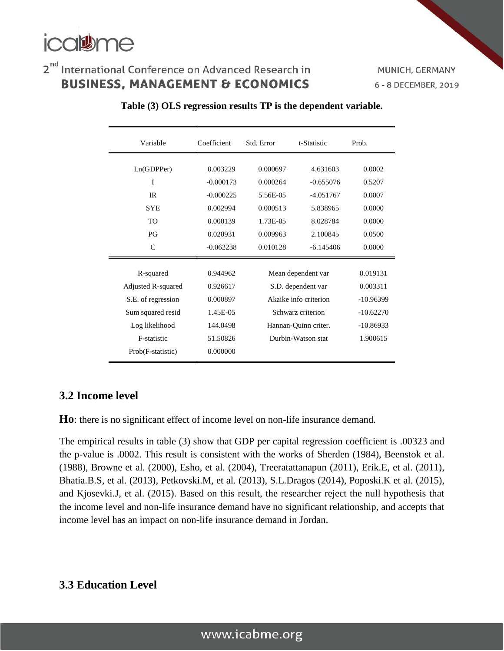

MUNICH, GERMANY 6 - 8 DECEMBER, 2019

| Variable                                                                                                                         | Coefficient                                                                      | Std. Error                                                                                                                           | t-Statistic | Prob.                                                                         |  |
|----------------------------------------------------------------------------------------------------------------------------------|----------------------------------------------------------------------------------|--------------------------------------------------------------------------------------------------------------------------------------|-------------|-------------------------------------------------------------------------------|--|
| Ln(GDPPer)                                                                                                                       | 0.003229                                                                         | 0.000697                                                                                                                             | 4.631603    | 0.0002                                                                        |  |
| I                                                                                                                                | $-0.000173$                                                                      | 0.000264                                                                                                                             | $-0.655076$ | 0.5207                                                                        |  |
| <b>IR</b>                                                                                                                        | $-0.000225$                                                                      | 5.56E-05                                                                                                                             | $-4.051767$ | 0.0007                                                                        |  |
| <b>SYE</b>                                                                                                                       | 0.002994                                                                         | 0.000513                                                                                                                             | 5.838965    | 0.0000                                                                        |  |
| <b>TO</b>                                                                                                                        | 0.000139                                                                         | 1.73E-05                                                                                                                             | 8.028784    | 0.0000                                                                        |  |
| P <sub>G</sub>                                                                                                                   | 0.020931                                                                         | 0.009963                                                                                                                             | 2.100845    | 0.0500                                                                        |  |
| $\mathcal{C}$                                                                                                                    | $-0.062238$                                                                      | 0.010128                                                                                                                             | $-6.145406$ | 0.0000                                                                        |  |
| R-squared<br>Adjusted R-squared<br>S.E. of regression<br>Sum squared resid<br>Log likelihood<br>F-statistic<br>Prob(F-statistic) | 0.944962<br>0.926617<br>0.000897<br>1.45E-05<br>144.0498<br>51.50826<br>0.000000 | Mean dependent var<br>S.D. dependent var<br>Akaike info criterion<br>Schwarz criterion<br>Hannan-Quinn criter.<br>Durbin-Watson stat |             | 0.019131<br>0.003311<br>$-10.96399$<br>$-10.62270$<br>$-10.86933$<br>1.900615 |  |

#### **Table (3) OLS regression results TP is the dependent variable.**

#### **3.2 Income level**

**Ho**: there is no significant effect of income level on non-life insurance demand.

The empirical results in table (3) show that GDP per capital regression coefficient is .00323 and the p-value is .0002. This result is consistent with the works of Sherden (1984), Beenstok et al. (1988), Browne et al. (2000), Esho, et al. (2004), Treeratattanapun (2011), Erik.E, et al. (2011), Bhatia.B.S, et al. (2013), Petkovski.M, et al. (2013), S.L.Dragos (2014), Poposki.K et al. (2015), and Kjosevki.J, et al. (2015). Based on this result, the researcher reject the null hypothesis that the income level and non-life insurance demand have no significant relationship, and accepts that income level has an impact on non-life insurance demand in Jordan.

## **3.3 Education Level**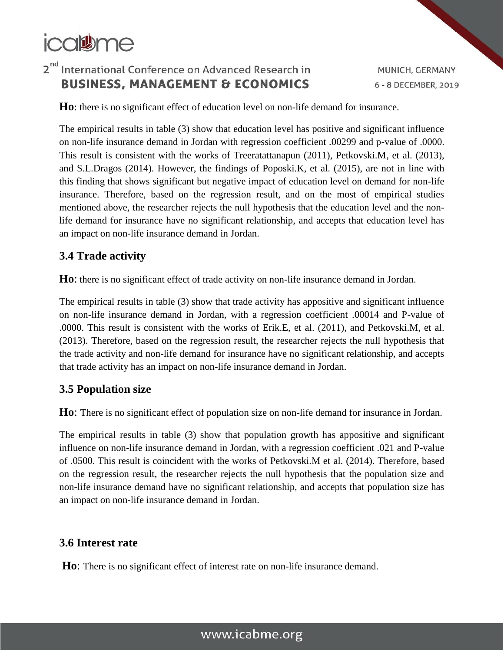# icalthe

# 2<sup>nd</sup> International Conference on Advanced Research in **BUSINESS, MANAGEMENT & ECONOMICS**

MUNICH, GERMANY 6 - 8 DECEMBER, 2019

**Ho**: there is no significant effect of education level on non-life demand for insurance.

The empirical results in table (3) show that education level has positive and significant influence on non-life insurance demand in Jordan with regression coefficient .00299 and p-value of .0000. This result is consistent with the works of Treeratattanapun (2011), Petkovski.M, et al. (2013), and S.L.Dragos (2014). However, the findings of Poposki.K, et al. (2015), are not in line with this finding that shows significant but negative impact of education level on demand for non-life insurance. Therefore, based on the regression result, and on the most of empirical studies mentioned above, the researcher rejects the null hypothesis that the education level and the nonlife demand for insurance have no significant relationship, and accepts that education level has an impact on non-life insurance demand in Jordan.

## **3.4 Trade activity**

**Ho**: there is no significant effect of trade activity on non-life insurance demand in Jordan.

The empirical results in table (3) show that trade activity has appositive and significant influence on non-life insurance demand in Jordan, with a regression coefficient .00014 and P-value of .0000. This result is consistent with the works of Erik.E, et al. (2011), and Petkovski.M, et al. (2013). Therefore, based on the regression result, the researcher rejects the null hypothesis that the trade activity and non-life demand for insurance have no significant relationship, and accepts that trade activity has an impact on non-life insurance demand in Jordan.

### **3.5 Population size**

**Ho**: There is no significant effect of population size on non-life demand for insurance in Jordan.

The empirical results in table (3) show that population growth has appositive and significant influence on non-life insurance demand in Jordan, with a regression coefficient .021 and P-value of .0500. This result is coincident with the works of Petkovski.M et al. (2014). Therefore, based on the regression result, the researcher rejects the null hypothesis that the population size and non-life insurance demand have no significant relationship, and accepts that population size has an impact on non-life insurance demand in Jordan.

### **3.6 Interest rate**

**Ho**: There is no significant effect of interest rate on non-life insurance demand.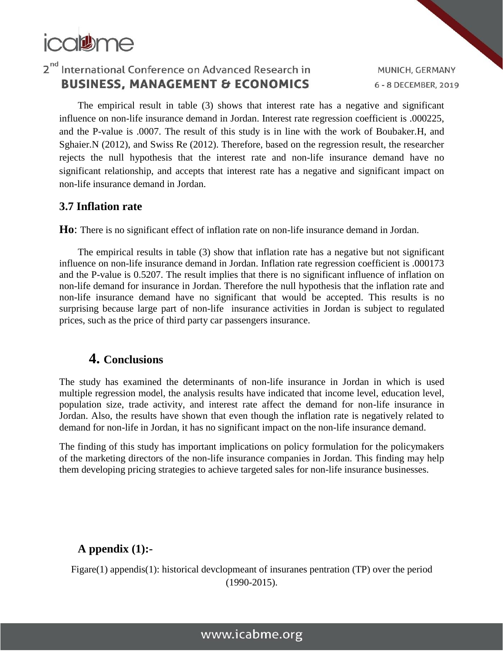

MUNICH, GERMANY 6 - 8 DECEMBER, 2019

The empirical result in table (3) shows that interest rate has a negative and significant influence on non-life insurance demand in Jordan. Interest rate regression coefficient is .000225, and the P-value is .0007. The result of this study is in line with the work of Boubaker.H, and Sghaier.N (2012), and Swiss Re (2012). Therefore, based on the regression result, the researcher rejects the null hypothesis that the interest rate and non-life insurance demand have no significant relationship, and accepts that interest rate has a negative and significant impact on non-life insurance demand in Jordan.

#### **3.7 Inflation rate**

**Ho**: There is no significant effect of inflation rate on non-life insurance demand in Jordan.

The empirical results in table (3) show that inflation rate has a negative but not significant influence on non-life insurance demand in Jordan. Inflation rate regression coefficient is .000173 and the P-value is 0.5207. The result implies that there is no significant influence of inflation on non-life demand for insurance in Jordan. Therefore the null hypothesis that the inflation rate and non-life insurance demand have no significant that would be accepted. This results is no surprising because large part of non-life insurance activities in Jordan is subject to regulated prices, such as the price of third party car passengers insurance.

### **4. Conclusions**

The study has examined the determinants of non-life insurance in Jordan in which is used multiple regression model, the analysis results have indicated that income level, education level, population size, trade activity, and interest rate affect the demand for non-life insurance in Jordan. Also, the results have shown that even though the inflation rate is negatively related to demand for non-life in Jordan, it has no significant impact on the non-life insurance demand.

The finding of this study has important implications on policy formulation for the policymakers of the marketing directors of the non-life insurance companies in Jordan. This finding may help them developing pricing strategies to achieve targeted sales for non-life insurance businesses.

### **A ppendix (1):-**

Figare(1) appendis(1): historical devclopmeant of insuranes pentration (TP) over the period (1990-2015).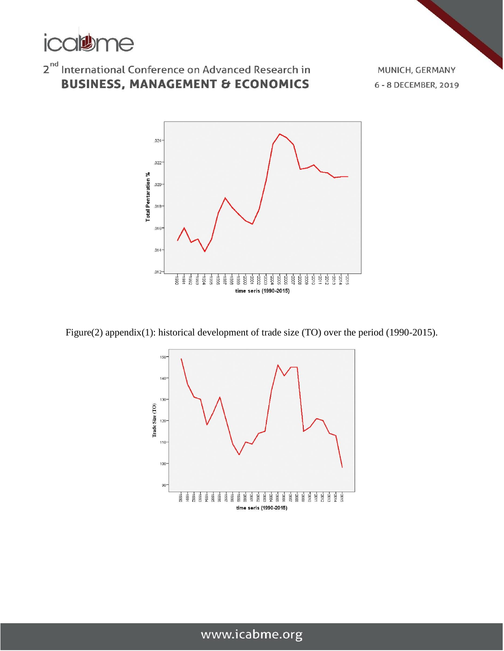

# $2^{\text{nd}}$  International Conference on Advanced Research in **BUSINESS, MANAGEMENT & ECONOMICS**

MUNICH, GERMANY 6 - 8 DECEMBER, 2019



Figure(2) appendix(1): historical development of trade size (TO) over the period (1990-2015).

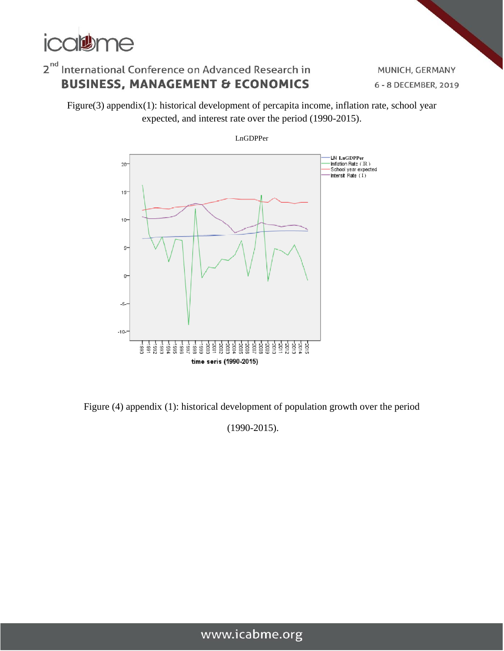

MUNICH, GERMANY 6 - 8 DECEMBER, 2019

Figure(3) appendix(1): historical development of percapita income, inflation rate, school year expected, and interest rate over the period (1990-2015).



Figure (4) appendix (1): historical development of population growth over the period

(1990-2015).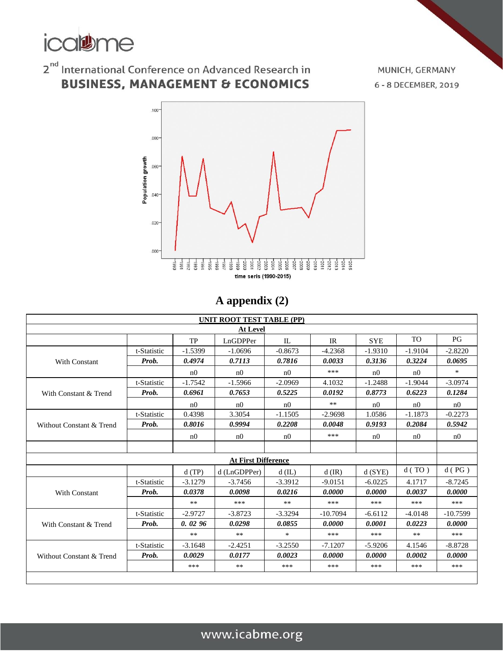

# $2^{\text{nd}}$  International Conference on Advanced Research in **BUSINESS, MANAGEMENT & ECONOMICS**

MUNICH, GERMANY 6 - 8 DECEMBER, 2019



## **A appendix (2)**

|                                                         | UNIT ROOT TEST TABLE (PP) |                |                            |                |            |                |                |                |
|---------------------------------------------------------|---------------------------|----------------|----------------------------|----------------|------------|----------------|----------------|----------------|
| <b>At Level</b>                                         |                           |                |                            |                |            |                |                |                |
|                                                         |                           | <b>TP</b>      | LnGDPPer                   | IL             | IR         | <b>SYE</b>     | TO             | PG             |
|                                                         | t-Statistic               | $-1.5399$      | $-1.0696$                  | $-0.8673$      | $-4.2368$  | $-1.9310$      | $-1.9104$      | $-2.8220$      |
| With Constant                                           | Prob.                     | 0.4974         | 0.7113                     | 0.7816         | 0.0033     | 0.3136         | 0.3224         | 0.0695         |
|                                                         |                           | n <sub>0</sub> | n <sub>0</sub>             | n <sub>0</sub> | ***        | n <sub>0</sub> | n <sub>0</sub> | $\ast$         |
|                                                         | t-Statistic               | $-1.7542$      | $-1.5966$                  | $-2.0969$      | 4.1032     | $-1.2488$      | $-1.9044$      | $-3.0974$      |
| With Constant & Trend                                   | Prob.                     | 0.6961         | 0.7653                     | 0.5225         | 0.0192     | 0.8773         | 0.6223         | 0.1284         |
|                                                         |                           | n0             | n <sub>0</sub>             | n <sub>0</sub> | $***$      | n0             | n <sub>0</sub> | n0             |
|                                                         | t-Statistic               | 0.4398         | 3.3054                     | $-1.1505$      | $-2.9698$  | 1.0586         | $-1.1873$      | $-0.2273$      |
| Without Constant & Trend                                | Prob.                     | 0.8016         | 0.9994                     | 0.2208         | 0.0048     | 0.9193         | 0.2084         | 0.5942         |
|                                                         |                           | n0             | n <sub>0</sub>             | n <sub>0</sub> | ***        | n0             | n <sub>0</sub> | n <sub>0</sub> |
|                                                         |                           |                |                            |                |            |                |                |                |
|                                                         |                           |                | <b>At First Difference</b> |                |            |                |                |                |
| d(SYE)<br>d(TP)<br>d (LnGDPPer)<br>$d$ (IL)<br>$d$ (IR) |                           |                |                            |                |            |                | d(TO)          | d(PG)          |
|                                                         | t-Statistic               | $-3.1279$      | $-3.7456$                  | $-3.3912$      | $-9.0151$  | $-6.0225$      | 4.1717         | $-8.7245$      |
| With Constant                                           | Prob.                     | 0.0378         | 0.0098                     | 0.0216         | 0.0000     | 0.0000         | 0.0037         | 0.0000         |
|                                                         |                           | $**$           | ***                        | $**$           | ***        | ***            | ***            | ***            |
| With Constant & Trend                                   | t-Statistic               | $-2.9727$      | $-3.8723$                  | $-3.3294$      | $-10.7094$ | $-6.6112$      | $-4.0148$      | $-10.7599$     |
|                                                         | Prob.                     | 0.0296         | 0.0298                     | 0.0855         | 0.0000     | 0.0001         | 0.0223         | 0.0000         |
|                                                         |                           | $***$          | **                         | $\ast$         | ***        | ***            | $***$          | ***            |
|                                                         | t-Statistic               | $-3.1648$      | $-2.4251$                  | $-3.2550$      | $-7.1207$  | $-5.9206$      | 4.1546         | $-8.8728$      |
| Without Constant & Trend                                | Prob.                     | 0.0029         | 0.0177                     | 0.0023         | 0.0000     | 0.0000         | 0.0002         | 0.0000         |
|                                                         |                           | ***            | **                         | ***            | ***        | ***            | ***            | ***            |
|                                                         |                           |                |                            |                |            |                |                |                |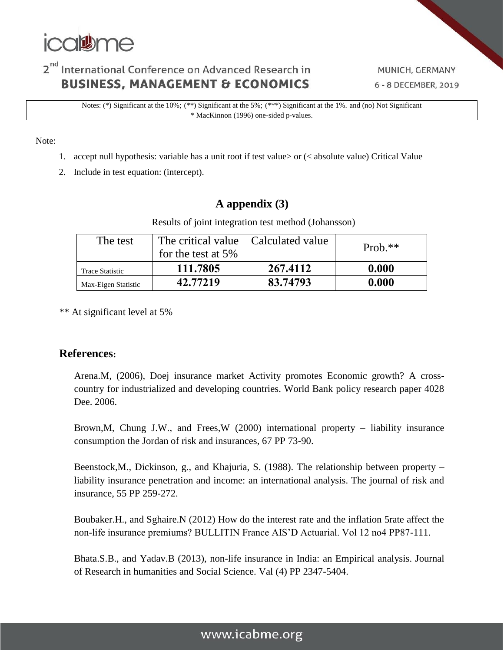

Notes: (\*) Significant at the 10%; (\*\*) Significant at the 5%; (\*\*\*) Significant at the 1%. and (no) Not Significant \* MacKinnon (1996) one-sided p-values.

#### Note:

- 1. accept null hypothesis: variable has a unit root if test value> or (< absolute value) Critical Value
- 2. Include in test equation: (intercept).

#### **A appendix (3)**

Results of joint integration test method (Johansson)

| The test               | The critical value   Calculated value<br>for the test at $5\%$ |          | Prob. $**$ |
|------------------------|----------------------------------------------------------------|----------|------------|
| <b>Trace Statistic</b> | 111.7805                                                       | 267.4112 | 0.000      |
| Max-Eigen Statistic    | 42.77219                                                       | 83.74793 | 0.000      |

\*\* At significant level at 5%

#### **References:**

Arena.M, (2006), Doej insurance market Activity promotes Economic growth? A crosscountry for industrialized and developing countries. World Bank policy research paper 4028 Dee. 2006.

Brown,M, Chung J.W., and Frees,W (2000) international property – liability insurance consumption the Jordan of risk and insurances, 67 PP 73-90.

Beenstock,M., Dickinson, g., and Khajuria, S. (1988). The relationship between property – liability insurance penetration and income: an international analysis. The journal of risk and insurance, 55 PP 259-272.

Boubaker.H., and Sghaire.N (2012) How do the interest rate and the inflation 5rate affect the non-life insurance premiums? BULLITIN France AIS'D Actuarial. Vol 12 no4 PP87-111.

Bhata.S.B., and Yadav.B (2013), non-life insurance in India: an Empirical analysis. Journal of Research in humanities and Social Science. Val (4) PP 2347-5404.

## www.icabme.org